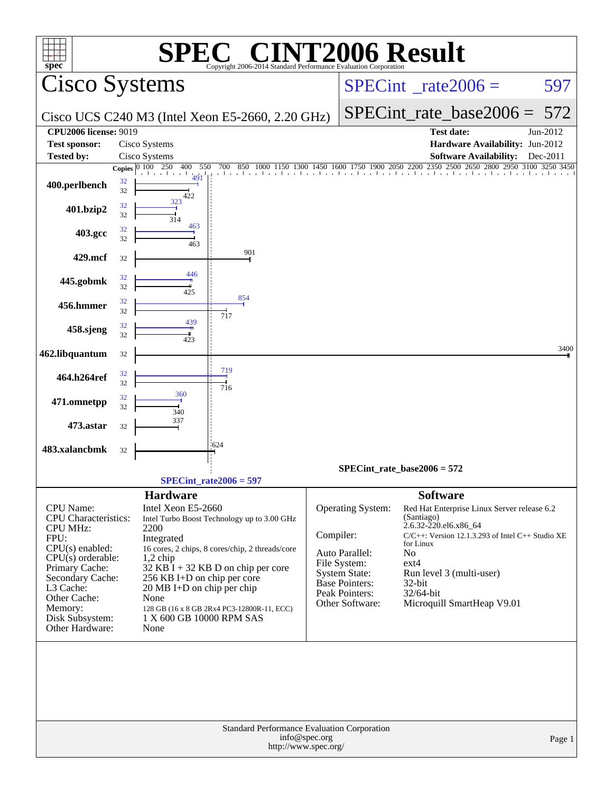| <b>NT2006 Result</b><br><b>SPEC®</b><br>$spec^*$<br>Copyright 2006-2014 Standard Performance Evaluation Corporation                                                                                     |                                                                                                                                                                                                                                                                                                                                                                            |                                                                                                                                                                                                                                                                                                                                                                                                                                                     |  |  |  |  |  |  |  |  |  |
|---------------------------------------------------------------------------------------------------------------------------------------------------------------------------------------------------------|----------------------------------------------------------------------------------------------------------------------------------------------------------------------------------------------------------------------------------------------------------------------------------------------------------------------------------------------------------------------------|-----------------------------------------------------------------------------------------------------------------------------------------------------------------------------------------------------------------------------------------------------------------------------------------------------------------------------------------------------------------------------------------------------------------------------------------------------|--|--|--|--|--|--|--|--|--|
| <b>Cisco Systems</b>                                                                                                                                                                                    |                                                                                                                                                                                                                                                                                                                                                                            | $SPECint^{\circ}$ rate $2006 =$<br>597                                                                                                                                                                                                                                                                                                                                                                                                              |  |  |  |  |  |  |  |  |  |
|                                                                                                                                                                                                         | Cisco UCS C240 M3 (Intel Xeon E5-2660, 2.20 GHz)                                                                                                                                                                                                                                                                                                                           | SPECint rate base $2006 =$<br>572                                                                                                                                                                                                                                                                                                                                                                                                                   |  |  |  |  |  |  |  |  |  |
| <b>CPU2006 license: 9019</b>                                                                                                                                                                            |                                                                                                                                                                                                                                                                                                                                                                            | <b>Test date:</b><br>Jun-2012                                                                                                                                                                                                                                                                                                                                                                                                                       |  |  |  |  |  |  |  |  |  |
| Test sponsor:                                                                                                                                                                                           | Cisco Systems                                                                                                                                                                                                                                                                                                                                                              | Hardware Availability: Jun-2012                                                                                                                                                                                                                                                                                                                                                                                                                     |  |  |  |  |  |  |  |  |  |
| <b>Tested by:</b>                                                                                                                                                                                       | Cisco Systems<br>400<br>Copies $\boxed{0\ 100\ 250}$<br>550<br>700                                                                                                                                                                                                                                                                                                         | <b>Software Availability:</b><br>$Dec-2011$<br>850 1000 1150 1300 1450 1600 1750 1900 2050 2200 2350 2500 2650 2800 2950 3100 3250 3450                                                                                                                                                                                                                                                                                                             |  |  |  |  |  |  |  |  |  |
| 32<br>400.perlbench<br>32                                                                                                                                                                               | 491<br>422                                                                                                                                                                                                                                                                                                                                                                 |                                                                                                                                                                                                                                                                                                                                                                                                                                                     |  |  |  |  |  |  |  |  |  |
| 32<br>401.bzip2<br>32                                                                                                                                                                                   | 323<br>314                                                                                                                                                                                                                                                                                                                                                                 |                                                                                                                                                                                                                                                                                                                                                                                                                                                     |  |  |  |  |  |  |  |  |  |
| 32<br>403.gcc<br>32                                                                                                                                                                                     | 463<br>463                                                                                                                                                                                                                                                                                                                                                                 |                                                                                                                                                                                                                                                                                                                                                                                                                                                     |  |  |  |  |  |  |  |  |  |
| 429.mcf<br>32                                                                                                                                                                                           | 901                                                                                                                                                                                                                                                                                                                                                                        |                                                                                                                                                                                                                                                                                                                                                                                                                                                     |  |  |  |  |  |  |  |  |  |
| 32<br>445.gobmk<br>32                                                                                                                                                                                   | 446<br>425<br>854                                                                                                                                                                                                                                                                                                                                                          |                                                                                                                                                                                                                                                                                                                                                                                                                                                     |  |  |  |  |  |  |  |  |  |
| 32<br>456.hmmer<br>32                                                                                                                                                                                   | 717<br>439                                                                                                                                                                                                                                                                                                                                                                 |                                                                                                                                                                                                                                                                                                                                                                                                                                                     |  |  |  |  |  |  |  |  |  |
| 32<br>458.sjeng<br>32                                                                                                                                                                                   | 423                                                                                                                                                                                                                                                                                                                                                                        |                                                                                                                                                                                                                                                                                                                                                                                                                                                     |  |  |  |  |  |  |  |  |  |
| 462.libquantum<br>32                                                                                                                                                                                    |                                                                                                                                                                                                                                                                                                                                                                            | 3400                                                                                                                                                                                                                                                                                                                                                                                                                                                |  |  |  |  |  |  |  |  |  |
| 32<br>464.h264ref<br>32                                                                                                                                                                                 | 719<br>716                                                                                                                                                                                                                                                                                                                                                                 |                                                                                                                                                                                                                                                                                                                                                                                                                                                     |  |  |  |  |  |  |  |  |  |
| 32<br>471.omnetpp<br>32                                                                                                                                                                                 | 360<br>340                                                                                                                                                                                                                                                                                                                                                                 |                                                                                                                                                                                                                                                                                                                                                                                                                                                     |  |  |  |  |  |  |  |  |  |
| 473.astar<br>32                                                                                                                                                                                         | 337                                                                                                                                                                                                                                                                                                                                                                        |                                                                                                                                                                                                                                                                                                                                                                                                                                                     |  |  |  |  |  |  |  |  |  |
| 483.xalancbmk<br>32                                                                                                                                                                                     | 1624                                                                                                                                                                                                                                                                                                                                                                       |                                                                                                                                                                                                                                                                                                                                                                                                                                                     |  |  |  |  |  |  |  |  |  |
|                                                                                                                                                                                                         |                                                                                                                                                                                                                                                                                                                                                                            | $SPECint_rate_base2006 = 572$                                                                                                                                                                                                                                                                                                                                                                                                                       |  |  |  |  |  |  |  |  |  |
|                                                                                                                                                                                                         | SPECint rate $2006 = 597$                                                                                                                                                                                                                                                                                                                                                  |                                                                                                                                                                                                                                                                                                                                                                                                                                                     |  |  |  |  |  |  |  |  |  |
| CPU Name:<br>CPU Characteristics:<br><b>CPU MHz:</b><br>FPU:<br>CPU(s) enabled:<br>$CPU(s)$ orderable:<br>Primary Cache:<br>Secondary Cache:<br>L3 Cache:<br>Other Cache:<br>Memory:<br>Disk Subsystem: | <b>Hardware</b><br>Intel Xeon E5-2660<br>Intel Turbo Boost Technology up to 3.00 GHz<br>2200<br>Integrated<br>16 cores, 2 chips, 8 cores/chip, 2 threads/core<br>$1,2$ chip<br>$32$ KB $\bar{I}$ + 32 KB D on chip per core<br>256 KB I+D on chip per core<br>20 MB I+D on chip per chip<br>None<br>128 GB (16 x 8 GB 2Rx4 PC3-12800R-11, ECC)<br>1 X 600 GB 10000 RPM SAS | <b>Software</b><br>Operating System:<br>Red Hat Enterprise Linux Server release 6.2<br>(Santiago)<br>2.6.32-220.el6.x86_64<br>Compiler:<br>$C/C++$ : Version 12.1.3.293 of Intel $C++$ Studio XE<br>for Linux<br>Auto Parallel:<br>N <sub>o</sub><br>File System:<br>ext4<br><b>System State:</b><br>Run level 3 (multi-user)<br><b>Base Pointers:</b><br>$32$ -bit<br>Peak Pointers:<br>32/64-bit<br>Microquill SmartHeap V9.01<br>Other Software: |  |  |  |  |  |  |  |  |  |
| Other Hardware:                                                                                                                                                                                         | None<br>Standard Performance Evaluation Corporation<br>info@spec.org<br>http://www.spec.org/                                                                                                                                                                                                                                                                               | Page 1                                                                                                                                                                                                                                                                                                                                                                                                                                              |  |  |  |  |  |  |  |  |  |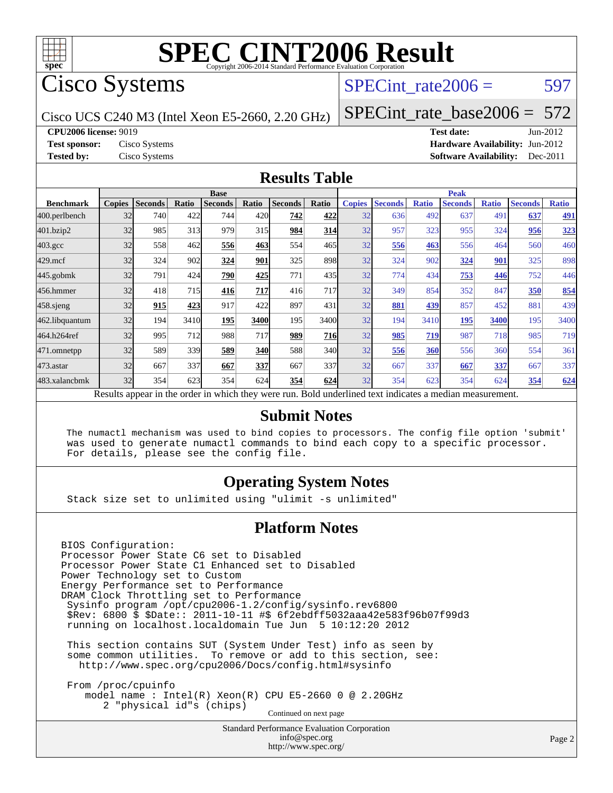

## Cisco Systems

### SPECint rate $2006 = 597$

Cisco UCS C240 M3 (Intel Xeon E5-2660, 2.20 GHz)

[SPECint\\_rate\\_base2006 =](http://www.spec.org/auto/cpu2006/Docs/result-fields.html#SPECintratebase2006) 572

**[CPU2006 license:](http://www.spec.org/auto/cpu2006/Docs/result-fields.html#CPU2006license)** 9019 **[Test date:](http://www.spec.org/auto/cpu2006/Docs/result-fields.html#Testdate)** Jun-2012

**[Test sponsor:](http://www.spec.org/auto/cpu2006/Docs/result-fields.html#Testsponsor)** Cisco Systems **[Hardware Availability:](http://www.spec.org/auto/cpu2006/Docs/result-fields.html#HardwareAvailability)** Jun-2012 **[Tested by:](http://www.spec.org/auto/cpu2006/Docs/result-fields.html#Testedby)** Cisco Systems **[Software Availability:](http://www.spec.org/auto/cpu2006/Docs/result-fields.html#SoftwareAvailability)** Dec-2011

#### **[Results Table](http://www.spec.org/auto/cpu2006/Docs/result-fields.html#ResultsTable)**

|                  | <b>Base</b>                                                                                              |                |       |                |            |                |       | <b>Peak</b>   |                |              |                |              |                |              |
|------------------|----------------------------------------------------------------------------------------------------------|----------------|-------|----------------|------------|----------------|-------|---------------|----------------|--------------|----------------|--------------|----------------|--------------|
| <b>Benchmark</b> | <b>Copies</b>                                                                                            | <b>Seconds</b> | Ratio | <b>Seconds</b> | Ratio      | <b>Seconds</b> | Ratio | <b>Copies</b> | <b>Seconds</b> | <b>Ratio</b> | <b>Seconds</b> | <b>Ratio</b> | <b>Seconds</b> | <b>Ratio</b> |
| 400.perlbench    | 32                                                                                                       | 740            | 422   | 744            | 420        | 742            | 422   | 32            | 636            | 492          | 637            | 491          | 637            | <u>491</u>   |
| 401.bzip2        | 32                                                                                                       | 985            | 313   | 979            | 315        | 984            | 314   | 32            | 957            | 323          | 955            | 324          | 956            | <u>323</u>   |
| $403.\text{gcc}$ | 32                                                                                                       | 558            | 462   | 556            | 463        | 554            | 465   | 32            | 556            | 463          | 556            | 464          | 560            | 460          |
| $429$ .mcf       | 32                                                                                                       | 324            | 902   | 324            | 901        | 325            | 898   | 32            | 324            | 902          | 324            | 901          | 325            | 898          |
| $445$ .gobmk     | 32                                                                                                       | 791            | 424   | 790            | 425        | 771            | 435   | 32            | 774            | 434          | 753            | 446          | 752            | 446          |
| 456.hmmer        | 32                                                                                                       | 418            | 715   | 416            | 717        | 416            | 717   | 32            | 349            | 854          | 352            | 847          | 350            | 854          |
| $458$ .sjeng     | 32                                                                                                       | 915            | 423   | 917            | 422        | 897            | 431   | 32            | 881            | 439          | 857            | 452          | 881            | 439          |
| 462.libquantum   | 32                                                                                                       | 194            | 3410  | 195            | 3400       | 195            | 3400  | 32            | 194            | 3410         | 195            | 3400         | 195            | 3400         |
| 464.h264ref      | 32                                                                                                       | 995            | 712   | 988            | 717        | 989            | 716   | 32            | 985            | 719          | 987            | 718          | 985            | 719          |
| 471.omnetpp      | 32                                                                                                       | 589            | 339   | 589            | <b>340</b> | 588            | 340   | 32            | 556            | 360          | 556            | 360          | 554            | 361          |
| $473$ . astar    | 32                                                                                                       | 667            | 337   | 667            | 337        | 667            | 337   | 32            | 667            | 337          | 667            | 337          | 667            | 337          |
| 483.xalancbmk    | 32                                                                                                       | 354            | 623   | 354            | 624        | 354            | 624   | 32            | 354            | 623          | 354            | 624          | 354            | 624          |
|                  | Results appear in the order in which they were run. Bold underlined text indicates a median measurement. |                |       |                |            |                |       |               |                |              |                |              |                |              |

#### **[Submit Notes](http://www.spec.org/auto/cpu2006/Docs/result-fields.html#SubmitNotes)**

 The numactl mechanism was used to bind copies to processors. The config file option 'submit' was used to generate numactl commands to bind each copy to a specific processor. For details, please see the config file.

#### **[Operating System Notes](http://www.spec.org/auto/cpu2006/Docs/result-fields.html#OperatingSystemNotes)**

Stack size set to unlimited using "ulimit -s unlimited"

#### **[Platform Notes](http://www.spec.org/auto/cpu2006/Docs/result-fields.html#PlatformNotes)**

BIOS Configuration: Processor Power State C6 set to Disabled Processor Power State C1 Enhanced set to Disabled Power Technology set to Custom Energy Performance set to Performance DRAM Clock Throttling set to Performance Sysinfo program /opt/cpu2006-1.2/config/sysinfo.rev6800 \$Rev: 6800 \$ \$Date:: 2011-10-11 #\$ 6f2ebdff5032aaa42e583f96b07f99d3 running on localhost.localdomain Tue Jun 5 10:12:20 2012 This section contains SUT (System Under Test) info as seen by some common utilities. To remove or add to this section, see: <http://www.spec.org/cpu2006/Docs/config.html#sysinfo> From /proc/cpuinfo model name : Intel(R) Xeon(R) CPU E5-2660 0 @ 2.20GHz 2 "physical id"s (chips)

Continued on next page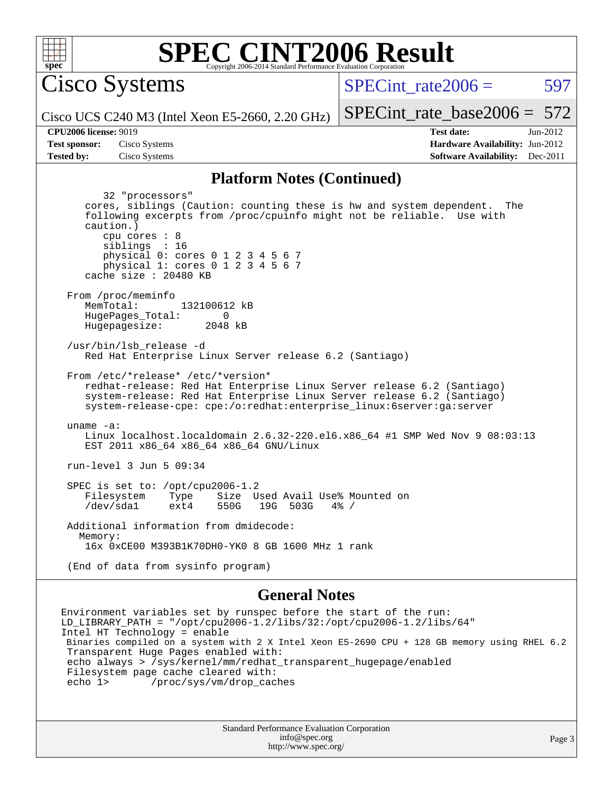

Cisco Systems

SPECint rate $2006 = 597$ 

[SPECint\\_rate\\_base2006 =](http://www.spec.org/auto/cpu2006/Docs/result-fields.html#SPECintratebase2006) 572

Cisco UCS C240 M3 (Intel Xeon E5-2660, 2.20 GHz)

**[Tested by:](http://www.spec.org/auto/cpu2006/Docs/result-fields.html#Testedby)** Cisco Systems **[Software Availability:](http://www.spec.org/auto/cpu2006/Docs/result-fields.html#SoftwareAvailability)** Dec-2011

**[CPU2006 license:](http://www.spec.org/auto/cpu2006/Docs/result-fields.html#CPU2006license)** 9019 **[Test date:](http://www.spec.org/auto/cpu2006/Docs/result-fields.html#Testdate)** Jun-2012 **[Test sponsor:](http://www.spec.org/auto/cpu2006/Docs/result-fields.html#Testsponsor)** Cisco Systems **[Hardware Availability:](http://www.spec.org/auto/cpu2006/Docs/result-fields.html#HardwareAvailability)** Jun-2012

#### **[Platform Notes \(Continued\)](http://www.spec.org/auto/cpu2006/Docs/result-fields.html#PlatformNotes)**

 32 "processors" cores, siblings (Caution: counting these is hw and system dependent. The following excerpts from /proc/cpuinfo might not be reliable. Use with caution.) cpu cores : 8 siblings : 16 physical 0: cores 0 1 2 3 4 5 6 7 physical 1: cores 0 1 2 3 4 5 6 7 cache size : 20480 KB From /proc/meminfo<br>MemTotal: 132100612 kB HugePages\_Total: 0<br>Hugepagesize: 2048 kB Hugepagesize: /usr/bin/lsb\_release -d Red Hat Enterprise Linux Server release 6.2 (Santiago) From /etc/\*release\* /etc/\*version\* redhat-release: Red Hat Enterprise Linux Server release 6.2 (Santiago) system-release: Red Hat Enterprise Linux Server release 6.2 (Santiago) system-release-cpe: cpe:/o:redhat:enterprise\_linux:6server:ga:server uname -a: Linux localhost.localdomain 2.6.32-220.el6.x86\_64 #1 SMP Wed Nov 9 08:03:13 EST 2011 x86\_64 x86\_64 x86\_64 GNU/Linux run-level 3 Jun 5 09:34 SPEC is set to: /opt/cpu2006-1.2<br>Filesystem Type Size U Filesystem Type Size Used Avail Use% Mounted on<br>/dev/sdal ext4 550G 19G 503G 4% / 19G 503G 4% / Additional information from dmidecode: Memory: 16x 0xCE00 M393B1K70DH0-YK0 8 GB 1600 MHz 1 rank (End of data from sysinfo program)

#### **[General Notes](http://www.spec.org/auto/cpu2006/Docs/result-fields.html#GeneralNotes)**

Environment variables set by runspec before the start of the run:  $LD_LIBRARY_PATH$  = "/opt/cpu2006-1.2/libs/32:/opt/cpu2006-1.2/libs/64" Intel HT Technology = enable Binaries compiled on a system with 2 X Intel Xeon E5-2690 CPU + 128 GB memory using RHEL 6.2 Transparent Huge Pages enabled with: echo always > /sys/kernel/mm/redhat\_transparent\_hugepage/enabled Filesystem page cache cleared with:<br>echo 1> /proc/sys/ym/drop cac /proc/sys/vm/drop\_caches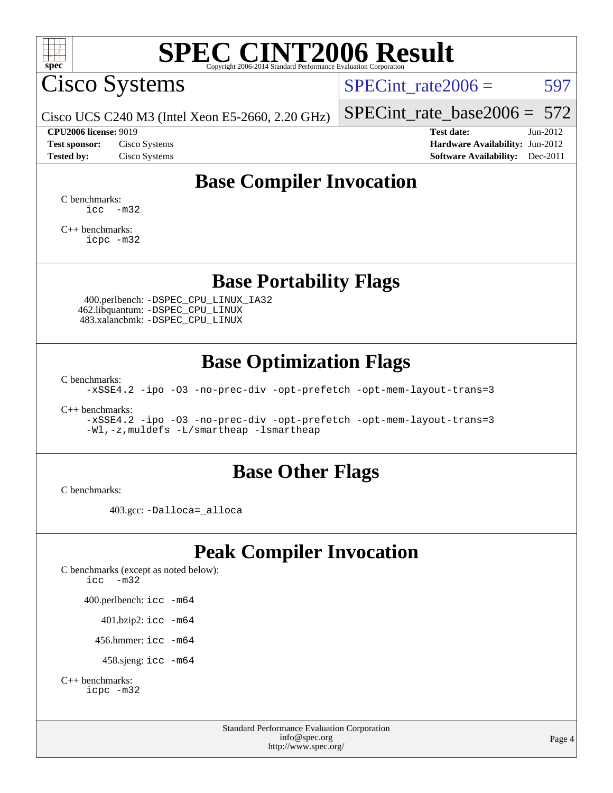

Cisco Systems

SPECint rate $2006 = 597$ 

[SPECint\\_rate\\_base2006 =](http://www.spec.org/auto/cpu2006/Docs/result-fields.html#SPECintratebase2006)  $572$ 

Cisco UCS C240 M3 (Intel Xeon E5-2660, 2.20 GHz)

**[Tested by:](http://www.spec.org/auto/cpu2006/Docs/result-fields.html#Testedby)** Cisco Systems **[Software Availability:](http://www.spec.org/auto/cpu2006/Docs/result-fields.html#SoftwareAvailability)** Dec-2011

**[CPU2006 license:](http://www.spec.org/auto/cpu2006/Docs/result-fields.html#CPU2006license)** 9019 **[Test date:](http://www.spec.org/auto/cpu2006/Docs/result-fields.html#Testdate)** Jun-2012 **[Test sponsor:](http://www.spec.org/auto/cpu2006/Docs/result-fields.html#Testsponsor)** Cisco Systems **[Hardware Availability:](http://www.spec.org/auto/cpu2006/Docs/result-fields.html#HardwareAvailability)** Jun-2012

## **[Base Compiler Invocation](http://www.spec.org/auto/cpu2006/Docs/result-fields.html#BaseCompilerInvocation)**

[C benchmarks](http://www.spec.org/auto/cpu2006/Docs/result-fields.html#Cbenchmarks):  $\text{icc}$   $-\text{m32}$ 

[C++ benchmarks:](http://www.spec.org/auto/cpu2006/Docs/result-fields.html#CXXbenchmarks) [icpc -m32](http://www.spec.org/cpu2006/results/res2012q3/cpu2006-20120613-22880.flags.html#user_CXXbase_intel_icpc_4e5a5ef1a53fd332b3c49e69c3330699)

**[Base Portability Flags](http://www.spec.org/auto/cpu2006/Docs/result-fields.html#BasePortabilityFlags)**

 400.perlbench: [-DSPEC\\_CPU\\_LINUX\\_IA32](http://www.spec.org/cpu2006/results/res2012q3/cpu2006-20120613-22880.flags.html#b400.perlbench_baseCPORTABILITY_DSPEC_CPU_LINUX_IA32) 462.libquantum: [-DSPEC\\_CPU\\_LINUX](http://www.spec.org/cpu2006/results/res2012q3/cpu2006-20120613-22880.flags.html#b462.libquantum_baseCPORTABILITY_DSPEC_CPU_LINUX) 483.xalancbmk: [-DSPEC\\_CPU\\_LINUX](http://www.spec.org/cpu2006/results/res2012q3/cpu2006-20120613-22880.flags.html#b483.xalancbmk_baseCXXPORTABILITY_DSPEC_CPU_LINUX)

### **[Base Optimization Flags](http://www.spec.org/auto/cpu2006/Docs/result-fields.html#BaseOptimizationFlags)**

[C benchmarks](http://www.spec.org/auto/cpu2006/Docs/result-fields.html#Cbenchmarks):

[-xSSE4.2](http://www.spec.org/cpu2006/results/res2012q3/cpu2006-20120613-22880.flags.html#user_CCbase_f-xSSE42_f91528193cf0b216347adb8b939d4107) [-ipo](http://www.spec.org/cpu2006/results/res2012q3/cpu2006-20120613-22880.flags.html#user_CCbase_f-ipo) [-O3](http://www.spec.org/cpu2006/results/res2012q3/cpu2006-20120613-22880.flags.html#user_CCbase_f-O3) [-no-prec-div](http://www.spec.org/cpu2006/results/res2012q3/cpu2006-20120613-22880.flags.html#user_CCbase_f-no-prec-div) [-opt-prefetch](http://www.spec.org/cpu2006/results/res2012q3/cpu2006-20120613-22880.flags.html#user_CCbase_f-opt-prefetch) [-opt-mem-layout-trans=3](http://www.spec.org/cpu2006/results/res2012q3/cpu2006-20120613-22880.flags.html#user_CCbase_f-opt-mem-layout-trans_a7b82ad4bd7abf52556d4961a2ae94d5)

[C++ benchmarks:](http://www.spec.org/auto/cpu2006/Docs/result-fields.html#CXXbenchmarks)

[-xSSE4.2](http://www.spec.org/cpu2006/results/res2012q3/cpu2006-20120613-22880.flags.html#user_CXXbase_f-xSSE42_f91528193cf0b216347adb8b939d4107) [-ipo](http://www.spec.org/cpu2006/results/res2012q3/cpu2006-20120613-22880.flags.html#user_CXXbase_f-ipo) [-O3](http://www.spec.org/cpu2006/results/res2012q3/cpu2006-20120613-22880.flags.html#user_CXXbase_f-O3) [-no-prec-div](http://www.spec.org/cpu2006/results/res2012q3/cpu2006-20120613-22880.flags.html#user_CXXbase_f-no-prec-div) [-opt-prefetch](http://www.spec.org/cpu2006/results/res2012q3/cpu2006-20120613-22880.flags.html#user_CXXbase_f-opt-prefetch) [-opt-mem-layout-trans=3](http://www.spec.org/cpu2006/results/res2012q3/cpu2006-20120613-22880.flags.html#user_CXXbase_f-opt-mem-layout-trans_a7b82ad4bd7abf52556d4961a2ae94d5) [-Wl,-z,muldefs](http://www.spec.org/cpu2006/results/res2012q3/cpu2006-20120613-22880.flags.html#user_CXXbase_link_force_multiple1_74079c344b956b9658436fd1b6dd3a8a) [-L/smartheap -lsmartheap](http://www.spec.org/cpu2006/results/res2012q3/cpu2006-20120613-22880.flags.html#user_CXXbase_SmartHeap_7c9e394a5779e1a7fec7c221e123830c)

### **[Base Other Flags](http://www.spec.org/auto/cpu2006/Docs/result-fields.html#BaseOtherFlags)**

[C benchmarks](http://www.spec.org/auto/cpu2006/Docs/result-fields.html#Cbenchmarks):

403.gcc: [-Dalloca=\\_alloca](http://www.spec.org/cpu2006/results/res2012q3/cpu2006-20120613-22880.flags.html#b403.gcc_baseEXTRA_CFLAGS_Dalloca_be3056838c12de2578596ca5467af7f3)

## **[Peak Compiler Invocation](http://www.spec.org/auto/cpu2006/Docs/result-fields.html#PeakCompilerInvocation)**

[C benchmarks \(except as noted below\)](http://www.spec.org/auto/cpu2006/Docs/result-fields.html#Cbenchmarksexceptasnotedbelow): [icc -m32](http://www.spec.org/cpu2006/results/res2012q3/cpu2006-20120613-22880.flags.html#user_CCpeak_intel_icc_5ff4a39e364c98233615fdd38438c6f2) 400.perlbench: [icc -m64](http://www.spec.org/cpu2006/results/res2012q3/cpu2006-20120613-22880.flags.html#user_peakCCLD400_perlbench_intel_icc_64bit_bda6cc9af1fdbb0edc3795bac97ada53) 401.bzip2: [icc -m64](http://www.spec.org/cpu2006/results/res2012q3/cpu2006-20120613-22880.flags.html#user_peakCCLD401_bzip2_intel_icc_64bit_bda6cc9af1fdbb0edc3795bac97ada53)

456.hmmer: [icc -m64](http://www.spec.org/cpu2006/results/res2012q3/cpu2006-20120613-22880.flags.html#user_peakCCLD456_hmmer_intel_icc_64bit_bda6cc9af1fdbb0edc3795bac97ada53)

458.sjeng: [icc -m64](http://www.spec.org/cpu2006/results/res2012q3/cpu2006-20120613-22880.flags.html#user_peakCCLD458_sjeng_intel_icc_64bit_bda6cc9af1fdbb0edc3795bac97ada53)

```
C++ benchmarks: 
icpc -m32
```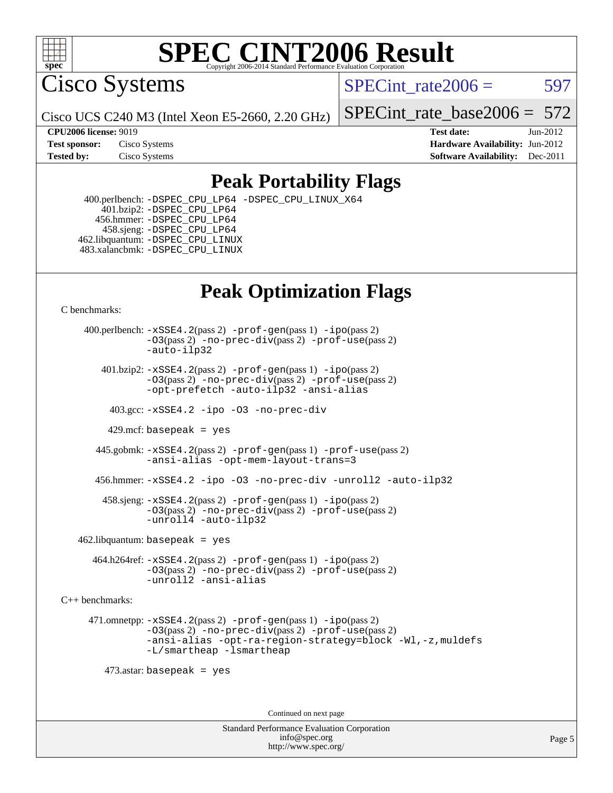

Cisco Systems

SPECint rate $2006 = 597$ 

Cisco UCS C240 M3 (Intel Xeon E5-2660, 2.20 GHz)

[SPECint\\_rate\\_base2006 =](http://www.spec.org/auto/cpu2006/Docs/result-fields.html#SPECintratebase2006) 572

**[CPU2006 license:](http://www.spec.org/auto/cpu2006/Docs/result-fields.html#CPU2006license)** 9019 **[Test date:](http://www.spec.org/auto/cpu2006/Docs/result-fields.html#Testdate)** Jun-2012 **[Test sponsor:](http://www.spec.org/auto/cpu2006/Docs/result-fields.html#Testsponsor)** Cisco Systems **[Hardware Availability:](http://www.spec.org/auto/cpu2006/Docs/result-fields.html#HardwareAvailability)** Jun-2012 **[Tested by:](http://www.spec.org/auto/cpu2006/Docs/result-fields.html#Testedby)** Cisco Systems **[Software Availability:](http://www.spec.org/auto/cpu2006/Docs/result-fields.html#SoftwareAvailability)** Dec-2011

## **[Peak Portability Flags](http://www.spec.org/auto/cpu2006/Docs/result-fields.html#PeakPortabilityFlags)**

 400.perlbench: [-DSPEC\\_CPU\\_LP64](http://www.spec.org/cpu2006/results/res2012q3/cpu2006-20120613-22880.flags.html#b400.perlbench_peakCPORTABILITY_DSPEC_CPU_LP64) [-DSPEC\\_CPU\\_LINUX\\_X64](http://www.spec.org/cpu2006/results/res2012q3/cpu2006-20120613-22880.flags.html#b400.perlbench_peakCPORTABILITY_DSPEC_CPU_LINUX_X64) 401.bzip2: [-DSPEC\\_CPU\\_LP64](http://www.spec.org/cpu2006/results/res2012q3/cpu2006-20120613-22880.flags.html#suite_peakCPORTABILITY401_bzip2_DSPEC_CPU_LP64) 456.hmmer: [-DSPEC\\_CPU\\_LP64](http://www.spec.org/cpu2006/results/res2012q3/cpu2006-20120613-22880.flags.html#suite_peakCPORTABILITY456_hmmer_DSPEC_CPU_LP64) 458.sjeng: [-DSPEC\\_CPU\\_LP64](http://www.spec.org/cpu2006/results/res2012q3/cpu2006-20120613-22880.flags.html#suite_peakCPORTABILITY458_sjeng_DSPEC_CPU_LP64) 462.libquantum: [-DSPEC\\_CPU\\_LINUX](http://www.spec.org/cpu2006/results/res2012q3/cpu2006-20120613-22880.flags.html#b462.libquantum_peakCPORTABILITY_DSPEC_CPU_LINUX) 483.xalancbmk: [-DSPEC\\_CPU\\_LINUX](http://www.spec.org/cpu2006/results/res2012q3/cpu2006-20120613-22880.flags.html#b483.xalancbmk_peakCXXPORTABILITY_DSPEC_CPU_LINUX)

## **[Peak Optimization Flags](http://www.spec.org/auto/cpu2006/Docs/result-fields.html#PeakOptimizationFlags)**

[C benchmarks](http://www.spec.org/auto/cpu2006/Docs/result-fields.html#Cbenchmarks):

 400.perlbench: [-xSSE4.2](http://www.spec.org/cpu2006/results/res2012q3/cpu2006-20120613-22880.flags.html#user_peakPASS2_CFLAGSPASS2_LDCFLAGS400_perlbench_f-xSSE42_f91528193cf0b216347adb8b939d4107)(pass 2) [-prof-gen](http://www.spec.org/cpu2006/results/res2012q3/cpu2006-20120613-22880.flags.html#user_peakPASS1_CFLAGSPASS1_LDCFLAGS400_perlbench_prof_gen_e43856698f6ca7b7e442dfd80e94a8fc)(pass 1) [-ipo](http://www.spec.org/cpu2006/results/res2012q3/cpu2006-20120613-22880.flags.html#user_peakPASS2_CFLAGSPASS2_LDCFLAGS400_perlbench_f-ipo)(pass 2) [-O3](http://www.spec.org/cpu2006/results/res2012q3/cpu2006-20120613-22880.flags.html#user_peakPASS2_CFLAGSPASS2_LDCFLAGS400_perlbench_f-O3)(pass 2) [-no-prec-div](http://www.spec.org/cpu2006/results/res2012q3/cpu2006-20120613-22880.flags.html#user_peakPASS2_CFLAGSPASS2_LDCFLAGS400_perlbench_f-no-prec-div)(pass 2) [-prof-use](http://www.spec.org/cpu2006/results/res2012q3/cpu2006-20120613-22880.flags.html#user_peakPASS2_CFLAGSPASS2_LDCFLAGS400_perlbench_prof_use_bccf7792157ff70d64e32fe3e1250b55)(pass 2) [-auto-ilp32](http://www.spec.org/cpu2006/results/res2012q3/cpu2006-20120613-22880.flags.html#user_peakCOPTIMIZE400_perlbench_f-auto-ilp32)  $401.bzip2: -xSSE4.2(pass 2) -prof-qen(pass 1) -ipo(pass 2)$  $401.bzip2: -xSSE4.2(pass 2) -prof-qen(pass 1) -ipo(pass 2)$  $401.bzip2: -xSSE4.2(pass 2) -prof-qen(pass 1) -ipo(pass 2)$  $401.bzip2: -xSSE4.2(pass 2) -prof-qen(pass 1) -ipo(pass 2)$  $401.bzip2: -xSSE4.2(pass 2) -prof-qen(pass 1) -ipo(pass 2)$ [-O3](http://www.spec.org/cpu2006/results/res2012q3/cpu2006-20120613-22880.flags.html#user_peakPASS2_CFLAGSPASS2_LDCFLAGS401_bzip2_f-O3)(pass 2) [-no-prec-div](http://www.spec.org/cpu2006/results/res2012q3/cpu2006-20120613-22880.flags.html#user_peakPASS2_CFLAGSPASS2_LDCFLAGS401_bzip2_f-no-prec-div)(pass 2) [-prof-use](http://www.spec.org/cpu2006/results/res2012q3/cpu2006-20120613-22880.flags.html#user_peakPASS2_CFLAGSPASS2_LDCFLAGS401_bzip2_prof_use_bccf7792157ff70d64e32fe3e1250b55)(pass 2) [-opt-prefetch](http://www.spec.org/cpu2006/results/res2012q3/cpu2006-20120613-22880.flags.html#user_peakCOPTIMIZE401_bzip2_f-opt-prefetch) [-auto-ilp32](http://www.spec.org/cpu2006/results/res2012q3/cpu2006-20120613-22880.flags.html#user_peakCOPTIMIZE401_bzip2_f-auto-ilp32) [-ansi-alias](http://www.spec.org/cpu2006/results/res2012q3/cpu2006-20120613-22880.flags.html#user_peakCOPTIMIZE401_bzip2_f-ansi-alias) 403.gcc: [-xSSE4.2](http://www.spec.org/cpu2006/results/res2012q3/cpu2006-20120613-22880.flags.html#user_peakCOPTIMIZE403_gcc_f-xSSE42_f91528193cf0b216347adb8b939d4107) [-ipo](http://www.spec.org/cpu2006/results/res2012q3/cpu2006-20120613-22880.flags.html#user_peakCOPTIMIZE403_gcc_f-ipo) [-O3](http://www.spec.org/cpu2006/results/res2012q3/cpu2006-20120613-22880.flags.html#user_peakCOPTIMIZE403_gcc_f-O3) [-no-prec-div](http://www.spec.org/cpu2006/results/res2012q3/cpu2006-20120613-22880.flags.html#user_peakCOPTIMIZE403_gcc_f-no-prec-div) 429.mcf: basepeak = yes 445.gobmk: [-xSSE4.2](http://www.spec.org/cpu2006/results/res2012q3/cpu2006-20120613-22880.flags.html#user_peakPASS2_CFLAGSPASS2_LDCFLAGS445_gobmk_f-xSSE42_f91528193cf0b216347adb8b939d4107)(pass 2) [-prof-gen](http://www.spec.org/cpu2006/results/res2012q3/cpu2006-20120613-22880.flags.html#user_peakPASS1_CFLAGSPASS1_LDCFLAGS445_gobmk_prof_gen_e43856698f6ca7b7e442dfd80e94a8fc)(pass 1) [-prof-use](http://www.spec.org/cpu2006/results/res2012q3/cpu2006-20120613-22880.flags.html#user_peakPASS2_CFLAGSPASS2_LDCFLAGS445_gobmk_prof_use_bccf7792157ff70d64e32fe3e1250b55)(pass 2) [-ansi-alias](http://www.spec.org/cpu2006/results/res2012q3/cpu2006-20120613-22880.flags.html#user_peakCOPTIMIZE445_gobmk_f-ansi-alias) [-opt-mem-layout-trans=3](http://www.spec.org/cpu2006/results/res2012q3/cpu2006-20120613-22880.flags.html#user_peakCOPTIMIZE445_gobmk_f-opt-mem-layout-trans_a7b82ad4bd7abf52556d4961a2ae94d5) 456.hmmer: [-xSSE4.2](http://www.spec.org/cpu2006/results/res2012q3/cpu2006-20120613-22880.flags.html#user_peakCOPTIMIZE456_hmmer_f-xSSE42_f91528193cf0b216347adb8b939d4107) [-ipo](http://www.spec.org/cpu2006/results/res2012q3/cpu2006-20120613-22880.flags.html#user_peakCOPTIMIZE456_hmmer_f-ipo) [-O3](http://www.spec.org/cpu2006/results/res2012q3/cpu2006-20120613-22880.flags.html#user_peakCOPTIMIZE456_hmmer_f-O3) [-no-prec-div](http://www.spec.org/cpu2006/results/res2012q3/cpu2006-20120613-22880.flags.html#user_peakCOPTIMIZE456_hmmer_f-no-prec-div) [-unroll2](http://www.spec.org/cpu2006/results/res2012q3/cpu2006-20120613-22880.flags.html#user_peakCOPTIMIZE456_hmmer_f-unroll_784dae83bebfb236979b41d2422d7ec2) [-auto-ilp32](http://www.spec.org/cpu2006/results/res2012q3/cpu2006-20120613-22880.flags.html#user_peakCOPTIMIZE456_hmmer_f-auto-ilp32) 458.sjeng: [-xSSE4.2](http://www.spec.org/cpu2006/results/res2012q3/cpu2006-20120613-22880.flags.html#user_peakPASS2_CFLAGSPASS2_LDCFLAGS458_sjeng_f-xSSE42_f91528193cf0b216347adb8b939d4107)(pass 2) [-prof-gen](http://www.spec.org/cpu2006/results/res2012q3/cpu2006-20120613-22880.flags.html#user_peakPASS1_CFLAGSPASS1_LDCFLAGS458_sjeng_prof_gen_e43856698f6ca7b7e442dfd80e94a8fc)(pass 1) [-ipo](http://www.spec.org/cpu2006/results/res2012q3/cpu2006-20120613-22880.flags.html#user_peakPASS2_CFLAGSPASS2_LDCFLAGS458_sjeng_f-ipo)(pass 2) [-O3](http://www.spec.org/cpu2006/results/res2012q3/cpu2006-20120613-22880.flags.html#user_peakPASS2_CFLAGSPASS2_LDCFLAGS458_sjeng_f-O3)(pass 2) [-no-prec-div](http://www.spec.org/cpu2006/results/res2012q3/cpu2006-20120613-22880.flags.html#user_peakPASS2_CFLAGSPASS2_LDCFLAGS458_sjeng_f-no-prec-div)(pass 2) [-prof-use](http://www.spec.org/cpu2006/results/res2012q3/cpu2006-20120613-22880.flags.html#user_peakPASS2_CFLAGSPASS2_LDCFLAGS458_sjeng_prof_use_bccf7792157ff70d64e32fe3e1250b55)(pass 2) [-unroll4](http://www.spec.org/cpu2006/results/res2012q3/cpu2006-20120613-22880.flags.html#user_peakCOPTIMIZE458_sjeng_f-unroll_4e5e4ed65b7fd20bdcd365bec371b81f) [-auto-ilp32](http://www.spec.org/cpu2006/results/res2012q3/cpu2006-20120613-22880.flags.html#user_peakCOPTIMIZE458_sjeng_f-auto-ilp32)  $462$ .libquantum: basepeak = yes 464.h264ref: [-xSSE4.2](http://www.spec.org/cpu2006/results/res2012q3/cpu2006-20120613-22880.flags.html#user_peakPASS2_CFLAGSPASS2_LDCFLAGS464_h264ref_f-xSSE42_f91528193cf0b216347adb8b939d4107)(pass 2) [-prof-gen](http://www.spec.org/cpu2006/results/res2012q3/cpu2006-20120613-22880.flags.html#user_peakPASS1_CFLAGSPASS1_LDCFLAGS464_h264ref_prof_gen_e43856698f6ca7b7e442dfd80e94a8fc)(pass 1) [-ipo](http://www.spec.org/cpu2006/results/res2012q3/cpu2006-20120613-22880.flags.html#user_peakPASS2_CFLAGSPASS2_LDCFLAGS464_h264ref_f-ipo)(pass 2) [-O3](http://www.spec.org/cpu2006/results/res2012q3/cpu2006-20120613-22880.flags.html#user_peakPASS2_CFLAGSPASS2_LDCFLAGS464_h264ref_f-O3)(pass 2) [-no-prec-div](http://www.spec.org/cpu2006/results/res2012q3/cpu2006-20120613-22880.flags.html#user_peakPASS2_CFLAGSPASS2_LDCFLAGS464_h264ref_f-no-prec-div)(pass 2) [-prof-use](http://www.spec.org/cpu2006/results/res2012q3/cpu2006-20120613-22880.flags.html#user_peakPASS2_CFLAGSPASS2_LDCFLAGS464_h264ref_prof_use_bccf7792157ff70d64e32fe3e1250b55)(pass 2) [-unroll2](http://www.spec.org/cpu2006/results/res2012q3/cpu2006-20120613-22880.flags.html#user_peakCOPTIMIZE464_h264ref_f-unroll_784dae83bebfb236979b41d2422d7ec2) [-ansi-alias](http://www.spec.org/cpu2006/results/res2012q3/cpu2006-20120613-22880.flags.html#user_peakCOPTIMIZE464_h264ref_f-ansi-alias) [C++ benchmarks:](http://www.spec.org/auto/cpu2006/Docs/result-fields.html#CXXbenchmarks) 471.omnetpp: [-xSSE4.2](http://www.spec.org/cpu2006/results/res2012q3/cpu2006-20120613-22880.flags.html#user_peakPASS2_CXXFLAGSPASS2_LDCXXFLAGS471_omnetpp_f-xSSE42_f91528193cf0b216347adb8b939d4107)(pass 2) [-prof-gen](http://www.spec.org/cpu2006/results/res2012q3/cpu2006-20120613-22880.flags.html#user_peakPASS1_CXXFLAGSPASS1_LDCXXFLAGS471_omnetpp_prof_gen_e43856698f6ca7b7e442dfd80e94a8fc)(pass 1) [-ipo](http://www.spec.org/cpu2006/results/res2012q3/cpu2006-20120613-22880.flags.html#user_peakPASS2_CXXFLAGSPASS2_LDCXXFLAGS471_omnetpp_f-ipo)(pass 2) [-O3](http://www.spec.org/cpu2006/results/res2012q3/cpu2006-20120613-22880.flags.html#user_peakPASS2_CXXFLAGSPASS2_LDCXXFLAGS471_omnetpp_f-O3)(pass 2) [-no-prec-div](http://www.spec.org/cpu2006/results/res2012q3/cpu2006-20120613-22880.flags.html#user_peakPASS2_CXXFLAGSPASS2_LDCXXFLAGS471_omnetpp_f-no-prec-div)(pass 2) [-prof-use](http://www.spec.org/cpu2006/results/res2012q3/cpu2006-20120613-22880.flags.html#user_peakPASS2_CXXFLAGSPASS2_LDCXXFLAGS471_omnetpp_prof_use_bccf7792157ff70d64e32fe3e1250b55)(pass 2) [-ansi-alias](http://www.spec.org/cpu2006/results/res2012q3/cpu2006-20120613-22880.flags.html#user_peakCXXOPTIMIZE471_omnetpp_f-ansi-alias) [-opt-ra-region-strategy=block](http://www.spec.org/cpu2006/results/res2012q3/cpu2006-20120613-22880.flags.html#user_peakCXXOPTIMIZE471_omnetpp_f-opt-ra-region-strategy_a0a37c372d03933b2a18d4af463c1f69) [-Wl,-z,muldefs](http://www.spec.org/cpu2006/results/res2012q3/cpu2006-20120613-22880.flags.html#user_peakEXTRA_LDFLAGS471_omnetpp_link_force_multiple1_74079c344b956b9658436fd1b6dd3a8a) [-L/smartheap -lsmartheap](http://www.spec.org/cpu2006/results/res2012q3/cpu2006-20120613-22880.flags.html#user_peakEXTRA_LIBS471_omnetpp_SmartHeap_7c9e394a5779e1a7fec7c221e123830c) 473.astar: basepeak = yes Continued on next page